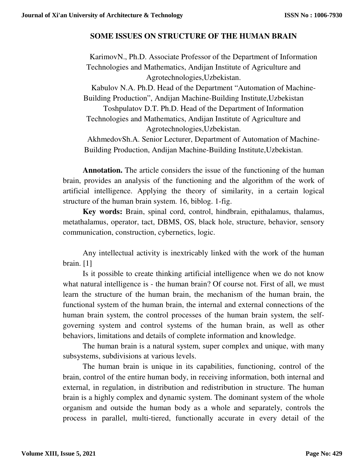## **SOME ISSUES ON STRUCTURE OF THE HUMAN BRAIN**

KarimovN., Ph.D. Associate Professor of the Department of Information Technologies and Mathematics, Andijan Institute of Agriculture and Agrotechnologies,Uzbekistan.

Kabulov N.A. Ph.D. Head of the Department "Automation of Machine-Building Production", Andijan Machine-Building Institute,Uzbekistan Toshpulatov D.T. Ph.D. Head of the Department of Information Technologies and Mathematics, Andijan Institute of Agriculture and Agrotechnologies,Uzbekistan.

AkhmedovSh.A. Senior Lecturer, Department of Automation of Machine-Building Production, Andijan Machine-Building Institute,Uzbekistan.

**Annotation.** The article considers the issue of the functioning of the human brain, provides an analysis of the functioning and the algorithm of the work of artificial intelligence. Applying the theory of similarity, in a certain logical structure of the human brain system. 16, biblog. 1-fig.

**Key words:** Brain, spinal cord, control, hindbrain, epithalamus, thalamus, metathalamus, operator, tact, DBMS, OS, black hole, structure, behavior, sensory communication, construction, cybernetics, logic.

Any intellectual activity is inextricably linked with the work of the human brain. [1]

Is it possible to create thinking artificial intelligence when we do not know what natural intelligence is - the human brain? Of course not. First of all, we must learn the structure of the human brain, the mechanism of the human brain, the functional system of the human brain, the internal and external connections of the human brain system, the control processes of the human brain system, the selfgoverning system and control systems of the human brain, as well as other behaviors, limitations and details of complete information and knowledge.

The human brain is a natural system, super complex and unique, with many subsystems, subdivisions at various levels.

The human brain is unique in its capabilities, functioning, control of the brain, control of the entire human body, in receiving information, both internal and external, in regulation, in distribution and redistribution in structure. The human brain is a highly complex and dynamic system. The dominant system of the whole organism and outside the human body as a whole and separately, controls the process in parallel, multi-tiered, functionally accurate in every detail of the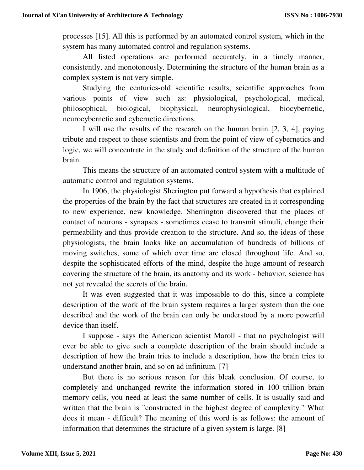processes [15]. All this is performed by an automated control system, which in the system has many automated control and regulation systems.

All listed operations are performed accurately, in a timely manner, consistently, and monotonously. Determining the structure of the human brain as a complex system is not very simple.

Studying the centuries-old scientific results, scientific approaches from various points of view such as: physiological, psychological, medical, philosophical, biological, biophysical, neurophysiological, biocybernetic, neurocybernetic and cybernetic directions.

I will use the results of the research on the human brain [2, 3, 4], paying tribute and respect to these scientists and from the point of view of cybernetics and logic, we will concentrate in the study and definition of the structure of the human brain.

This means the structure of an automated control system with a multitude of automatic control and regulation systems.

In 1906, the physiologist Sherington put forward a hypothesis that explained the properties of the brain by the fact that structures are created in it corresponding to new experience, new knowledge. Sherrington discovered that the places of contact of neurons - synapses - sometimes cease to transmit stimuli, change their permeability and thus provide creation to the structure. And so, the ideas of these physiologists, the brain looks like an accumulation of hundreds of billions of moving switches, some of which over time are closed throughout life. And so, despite the sophisticated efforts of the mind, despite the huge amount of research covering the structure of the brain, its anatomy and its work - behavior, science has not yet revealed the secrets of the brain.

It was even suggested that it was impossible to do this, since a complete description of the work of the brain system requires a larger system than the one described and the work of the brain can only be understood by a more powerful device than itself.

I suppose - says the American scientist Maroll - that no psychologist will ever be able to give such a complete description of the brain should include a description of how the brain tries to include a description, how the brain tries to understand another brain, and so on ad infinitum. [7]

But there is no serious reason for this bleak conclusion. Of course, to completely and unchanged rewrite the information stored in 100 trillion brain memory cells, you need at least the same number of cells. It is usually said and written that the brain is "constructed in the highest degree of complexity." What does it mean - difficult? The meaning of this word is as follows: the amount of information that determines the structure of a given system is large. [8]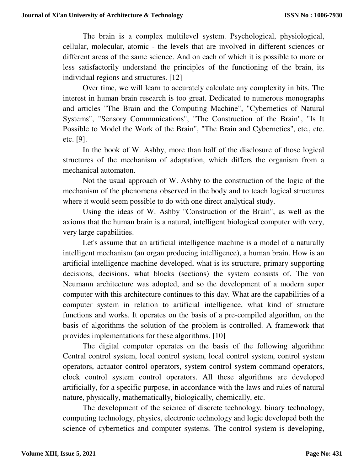The brain is a complex multilevel system. Psychological, physiological, cellular, molecular, atomic - the levels that are involved in different sciences or different areas of the same science. And on each of which it is possible to more or less satisfactorily understand the principles of the functioning of the brain, its individual regions and structures. [12]

Over time, we will learn to accurately calculate any complexity in bits. The interest in human brain research is too great. Dedicated to numerous monographs and articles "The Brain and the Computing Machine", "Cybernetics of Natural Systems", "Sensory Communications", "The Construction of the Brain", "Is It Possible to Model the Work of the Brain", "The Brain and Cybernetics", etc., etc. etc. [9].

In the book of W. Ashby, more than half of the disclosure of those logical structures of the mechanism of adaptation, which differs the organism from a mechanical automaton.

Not the usual approach of W. Ashby to the construction of the logic of the mechanism of the phenomena observed in the body and to teach logical structures where it would seem possible to do with one direct analytical study.

Using the ideas of W. Ashby "Construction of the Brain", as well as the axioms that the human brain is a natural, intelligent biological computer with very, very large capabilities.

Let's assume that an artificial intelligence machine is a model of a naturally intelligent mechanism (an organ producing intelligence), a human brain. How is an artificial intelligence machine developed, what is its structure, primary supporting decisions, decisions, what blocks (sections) the system consists of. The von Neumann architecture was adopted, and so the development of a modern super computer with this architecture continues to this day. What are the capabilities of a computer system in relation to artificial intelligence, what kind of structure functions and works. It operates on the basis of a pre-compiled algorithm, on the basis of algorithms the solution of the problem is controlled. A framework that provides implementations for these algorithms. [10]

The digital computer operates on the basis of the following algorithm: Central control system, local control system, local control system, control system operators, actuator control operators, system control system command operators, clock control system control operators. All these algorithms are developed artificially, for a specific purpose, in accordance with the laws and rules of natural nature, physically, mathematically, biologically, chemically, etc.

The development of the science of discrete technology, binary technology, computing technology, physics, electronic technology and logic developed both the science of cybernetics and computer systems. The control system is developing,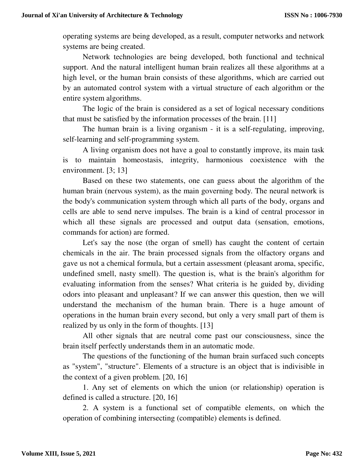operating systems are being developed, as a result, computer networks and network systems are being created.

Network technologies are being developed, both functional and technical support. And the natural intelligent human brain realizes all these algorithms at a high level, or the human brain consists of these algorithms, which are carried out by an automated control system with a virtual structure of each algorithm or the entire system algorithms.

The logic of the brain is considered as a set of logical necessary conditions that must be satisfied by the information processes of the brain. [11]

The human brain is a living organism - it is a self-regulating, improving, self-learning and self-programming system.

A living organism does not have a goal to constantly improve, its main task is to maintain homeostasis, integrity, harmonious coexistence with the environment. [3; 13]

Based on these two statements, one can guess about the algorithm of the human brain (nervous system), as the main governing body. The neural network is the body's communication system through which all parts of the body, organs and cells are able to send nerve impulses. The brain is a kind of central processor in which all these signals are processed and output data (sensation, emotions, commands for action) are formed.

Let's say the nose (the organ of smell) has caught the content of certain chemicals in the air. The brain processed signals from the olfactory organs and gave us not a chemical formula, but a certain assessment (pleasant aroma, specific, undefined smell, nasty smell). The question is, what is the brain's algorithm for evaluating information from the senses? What criteria is he guided by, dividing odors into pleasant and unpleasant? If we can answer this question, then we will understand the mechanism of the human brain. There is a huge amount of operations in the human brain every second, but only a very small part of them is realized by us only in the form of thoughts. [13]

All other signals that are neutral come past our consciousness, since the brain itself perfectly understands them in an automatic mode.

The questions of the functioning of the human brain surfaced such concepts as "system", "structure". Elements of a structure is an object that is indivisible in the context of a given problem. [20, 16]

1. Any set of elements on which the union (or relationship) operation is defined is called a structure. [20, 16]

2. A system is a functional set of compatible elements, on which the operation of combining intersecting (compatible) elements is defined.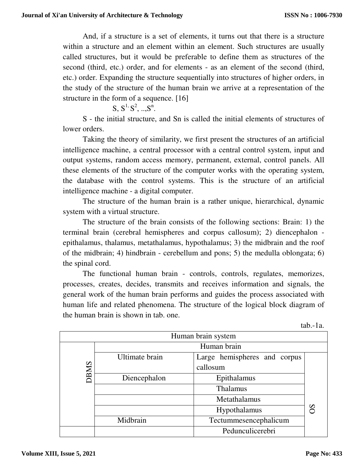And, if a structure is a set of elements, it turns out that there is a structure within a structure and an element within an element. Such structures are usually called structures, but it would be preferable to define them as structures of the second (third, etc.) order, and for elements - as an element of the second (third, etc.) order. Expanding the structure sequentially into structures of higher orders, in the study of the structure of the human brain we arrive at a representation of the structure in the form of a sequence. [16]

 $S, S^1, S^2, ..., S^n$ .

S - the initial structure, and Sn is called the initial elements of structures of lower orders.

Taking the theory of similarity, we first present the structures of an artificial intelligence machine, a central processor with a central control system, input and output systems, random access memory, permanent, external, control panels. All these elements of the structure of the computer works with the operating system, the database with the control systems. This is the structure of an artificial intelligence machine - a digital computer.

The structure of the human brain is a rather unique, hierarchical, dynamic system with a virtual structure.

The structure of the brain consists of the following sections: Brain: 1) the terminal brain (cerebral hemispheres and corpus callosum); 2) diencephalon epithalamus, thalamus, metathalamus, hypothalamus; 3) the midbrain and the roof of the midbrain; 4) hindbrain - cerebellum and pons; 5) the medulla oblongata; 6) the spinal cord.

The functional human brain - controls, controls, regulates, memorizes, processes, creates, decides, transmits and receives information and signals, the general work of the human brain performs and guides the process associated with human life and related phenomena. The structure of the logical block diagram of the human brain is shown in tab. one.

| Human brain system |                |                              |               |  |  |  |
|--------------------|----------------|------------------------------|---------------|--|--|--|
|                    | Human brain    |                              |               |  |  |  |
| <b>DBMS</b>        | Ultimate brain | Large hemispheres and corpus |               |  |  |  |
|                    |                | callosum                     |               |  |  |  |
|                    | Diencephalon   | Epithalamus                  |               |  |  |  |
|                    |                | Thalamus                     |               |  |  |  |
|                    |                | Metathalamus                 |               |  |  |  |
|                    |                | Hypothalamus                 | $\mathcal{S}$ |  |  |  |
|                    | Midbrain       | Tectummesencephalicum        |               |  |  |  |
|                    |                | Pedunculicerebri             |               |  |  |  |

tab.-1a.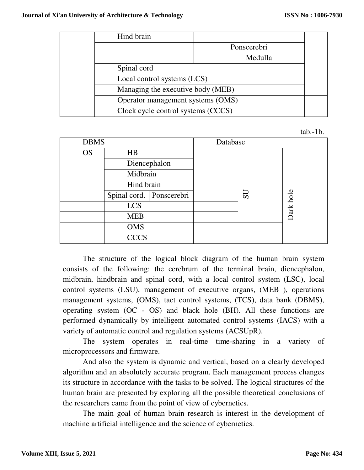| Hind brain                         |             |  |
|------------------------------------|-------------|--|
|                                    | Ponscerebri |  |
|                                    | Medulla     |  |
| Spinal cord                        |             |  |
| Local control systems (LCS)        |             |  |
| Managing the executive body (MEB)  |             |  |
| Operator management systems (OMS)  |             |  |
| Clock cycle control systems (CCCS) |             |  |

| tab.-1b. |  |
|----------|--|
|----------|--|

| <b>DBMS</b> |                            |  | Database |    |           |
|-------------|----------------------------|--|----------|----|-----------|
| <b>OS</b>   | HB                         |  |          |    |           |
|             | Diencephalon               |  |          |    |           |
|             | Midbrain                   |  |          |    |           |
|             | Hind brain                 |  |          |    |           |
|             | Spinal cord.   Ponscerebri |  |          | US |           |
|             | <b>LCS</b>                 |  |          |    | Dark hole |
|             | <b>MEB</b>                 |  |          |    |           |
|             | <b>OMS</b>                 |  |          |    |           |
|             | <b>CCCS</b>                |  |          |    |           |

The structure of the logical block diagram of the human brain system consists of the following: the cerebrum of the terminal brain, diencephalon, midbrain, hindbrain and spinal cord, with a local control system (LSC), local control systems (LSU), management of executive organs, (MEB ), operations management systems, (OMS), tact control systems, (TCS), data bank (DBMS), operating system (OC - OS) and black hole (BH). All these functions are performed dynamically by intelligent automated control systems (IACS) with a variety of automatic control and regulation systems (ACSUpR).

The system operates in real-time time-sharing in a variety of microprocessors and firmware.

And also the system is dynamic and vertical, based on a clearly developed algorithm and an absolutely accurate program. Each management process changes its structure in accordance with the tasks to be solved. The logical structures of the human brain are presented by exploring all the possible theoretical conclusions of the researchers came from the point of view of cybernetics.

The main goal of human brain research is interest in the development of machine artificial intelligence and the science of cybernetics.